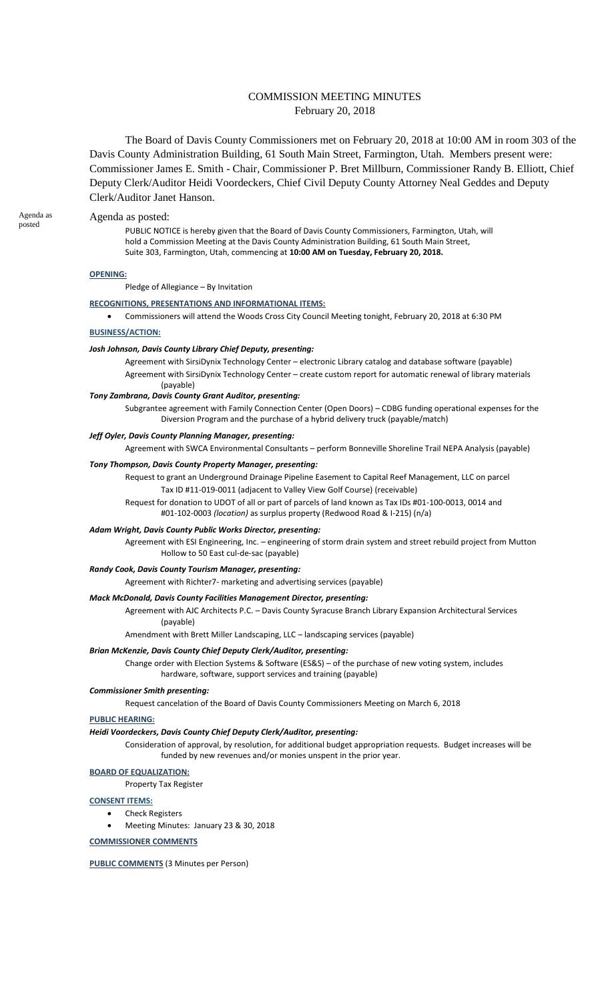# COMMISSION MEETING MINUTES February 20, 2018

The Board of Davis County Commissioners met on February 20, 2018 at 10:00 AM in room 303 of the Davis County Administration Building, 61 South Main Street, Farmington, Utah. Members present were: Commissioner James E. Smith - Chair, Commissioner P. Bret Millburn, Commissioner Randy B. Elliott, Chief Deputy Clerk/Auditor Heidi Voordeckers, Chief Civil Deputy County Attorney Neal Geddes and Deputy Clerk/Auditor Janet Hanson.

### Agenda as posted:

PUBLIC NOTICE is hereby given that the Board of Davis County Commissioners, Farmington, Utah, will hold a Commission Meeting at the Davis County Administration Building, 61 South Main Street, Suite 303, Farmington, Utah, commencing at **10:00 AM on Tuesday, February 20, 2018.**

### **OPENING:**

Pledge of Allegiance – By Invitation

# **RECOGNITIONS, PRESENTATIONS AND INFORMATIONAL ITEMS:**

Commissioners will attend the Woods Cross City Council Meeting tonight, February 20, 2018 at 6:30 PM

### **BUSINESS/ACTION:**

#### *Josh Johnson, Davis County Library Chief Deputy, presenting:*

Agreement with SirsiDynix Technology Center – electronic Library catalog and database software (payable) Agreement with SirsiDynix Technology Center – create custom report for automatic renewal of library materials (payable)

#### *Tony Zambrana, Davis County Grant Auditor, presenting:*

Subgrantee agreement with Family Connection Center (Open Doors) – CDBG funding operational expenses for the Diversion Program and the purchase of a hybrid delivery truck (payable/match)

### *Jeff Oyler, Davis County Planning Manager, presenting:*

Agreement with SWCA Environmental Consultants – perform Bonneville Shoreline Trail NEPA Analysis (payable)

### *Tony Thompson, Davis County Property Manager, presenting:*

Request to grant an Underground Drainage Pipeline Easement to Capital Reef Management, LLC on parcel Tax ID #11-019-0011 (adjacent to Valley View Golf Course) (receivable)

Request for donation to UDOT of all or part of parcels of land known as Tax IDs #01-100-0013, 0014 and #01-102-0003 *(location)* as surplus property (Redwood Road & I-215) (n/a)

#### *Adam Wright, Davis County Public Works Director, presenting:*

Agreement with ESI Engineering, Inc. – engineering of storm drain system and street rebuild project from Mutton Hollow to 50 East cul-de-sac (payable)

#### *Randy Cook, Davis County Tourism Manager, presenting:*

Agreement with Richter7- marketing and advertising services (payable)

# *Mack McDonald, Davis County Facilities Management Director, presenting:*

Agreement with AJC Architects P.C. – Davis County Syracuse Branch Library Expansion Architectural Services (payable)

Amendment with Brett Miller Landscaping, LLC – landscaping services (payable)

### *Brian McKenzie, Davis County Chief Deputy Clerk/Auditor, presenting:*

Change order with Election Systems & Software (ES&S) – of the purchase of new voting system, includes hardware, software, support services and training (payable)

#### *Commissioner Smith presenting:*

Request cancelation of the Board of Davis County Commissioners Meeting on March 6, 2018

### **PUBLIC HEARING:**

### *Heidi Voordeckers, Davis County Chief Deputy Clerk/Auditor, presenting:*

Consideration of approval, by resolution, for additional budget appropriation requests. Budget increases will be funded by new revenues and/or monies unspent in the prior year.

# **BOARD OF EQUALIZATION:**

Property Tax Register

#### **CONSENT ITEMS:**

- Check Registers
- Meeting Minutes: January 23 & 30, 2018

### **COMMISSIONER COMMENTS**

**PUBLIC COMMENTS** (3 Minutes per Person)

Agenda as posted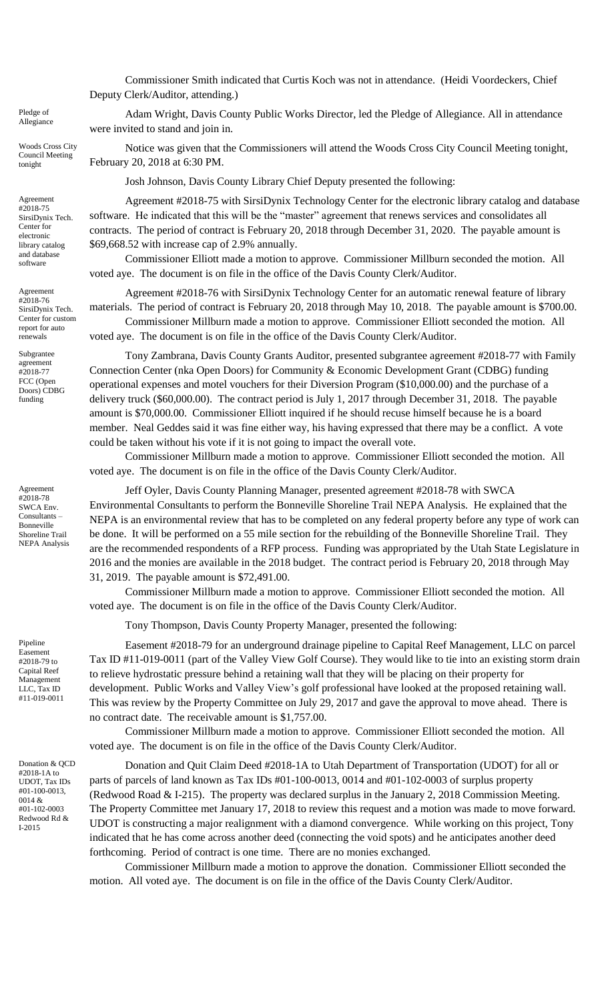Commissioner Smith indicated that Curtis Koch was not in attendance. (Heidi Voordeckers, Chief Deputy Clerk/Auditor, attending.)

Adam Wright, Davis County Public Works Director, led the Pledge of Allegiance. All in attendance were invited to stand and join in.

Notice was given that the Commissioners will attend the Woods Cross City Council Meeting tonight, February 20, 2018 at 6:30 PM.

Josh Johnson, Davis County Library Chief Deputy presented the following:

Agreement #2018-75 with SirsiDynix Technology Center for the electronic library catalog and database software. He indicated that this will be the "master" agreement that renews services and consolidates all contracts. The period of contract is February 20, 2018 through December 31, 2020. The payable amount is \$69,668.52 with increase cap of 2.9% annually.

Commissioner Elliott made a motion to approve. Commissioner Millburn seconded the motion. All voted aye. The document is on file in the office of the Davis County Clerk/Auditor.

Agreement #2018-76 with SirsiDynix Technology Center for an automatic renewal feature of library materials. The period of contract is February 20, 2018 through May 10, 2018. The payable amount is \$700.00. Commissioner Millburn made a motion to approve. Commissioner Elliott seconded the motion. All voted aye. The document is on file in the office of the Davis County Clerk/Auditor.

Tony Zambrana, Davis County Grants Auditor, presented subgrantee agreement #2018-77 with Family Connection Center (nka Open Doors) for Community & Economic Development Grant (CDBG) funding operational expenses and motel vouchers for their Diversion Program (\$10,000.00) and the purchase of a delivery truck (\$60,000.00). The contract period is July 1, 2017 through December 31, 2018. The payable amount is \$70,000.00. Commissioner Elliott inquired if he should recuse himself because he is a board member. Neal Geddes said it was fine either way, his having expressed that there may be a conflict. A vote could be taken without his vote if it is not going to impact the overall vote.

Commissioner Millburn made a motion to approve. Commissioner Elliott seconded the motion. All voted aye. The document is on file in the office of the Davis County Clerk/Auditor.

Jeff Oyler, Davis County Planning Manager, presented agreement #2018-78 with SWCA Environmental Consultants to perform the Bonneville Shoreline Trail NEPA Analysis. He explained that the NEPA is an environmental review that has to be completed on any federal property before any type of work can be done. It will be performed on a 55 mile section for the rebuilding of the Bonneville Shoreline Trail. They are the recommended respondents of a RFP process. Funding was appropriated by the Utah State Legislature in 2016 and the monies are available in the 2018 budget. The contract period is February 20, 2018 through May 31, 2019. The payable amount is \$72,491.00.

Commissioner Millburn made a motion to approve. Commissioner Elliott seconded the motion. All voted aye. The document is on file in the office of the Davis County Clerk/Auditor.

Tony Thompson, Davis County Property Manager, presented the following:

Easement #2018-79 for an underground drainage pipeline to Capital Reef Management, LLC on parcel Tax ID #11-019-0011 (part of the Valley View Golf Course). They would like to tie into an existing storm drain to relieve hydrostatic pressure behind a retaining wall that they will be placing on their property for development. Public Works and Valley View's golf professional have looked at the proposed retaining wall. This was review by the Property Committee on July 29, 2017 and gave the approval to move ahead. There is no contract date. The receivable amount is \$1,757.00.

Commissioner Millburn made a motion to approve. Commissioner Elliott seconded the motion. All voted aye. The document is on file in the office of the Davis County Clerk/Auditor.

Donation and Quit Claim Deed #2018-1A to Utah Department of Transportation (UDOT) for all or parts of parcels of land known as Tax IDs #01-100-0013, 0014 and #01-102-0003 of surplus property (Redwood Road & I-215). The property was declared surplus in the January 2, 2018 Commission Meeting. The Property Committee met January 17, 2018 to review this request and a motion was made to move forward. UDOT is constructing a major realignment with a diamond convergence. While working on this project, Tony indicated that he has come across another deed (connecting the void spots) and he anticipates another deed forthcoming. Period of contract is one time. There are no monies exchanged.

Commissioner Millburn made a motion to approve the donation. Commissioner Elliott seconded the motion. All voted aye. The document is on file in the office of the Davis County Clerk/Auditor.

Pledge of Allegiance

Woods Cross City Council Meeting tonight

Agreement #2018-75 SirsiDynix Tech. Center for electronic library catalog and database software

Agreement #2018-76 SirsiDynix Tech. Center for custom report for auto renewals

Subgrantee agreement #2018-77 FCC (Open Doors) CDBG funding

Agreement #2018-78 SWCA Env. Consultants – Bonneville Shoreline Trail NEPA Analysis

Pipeline Easement #2018-79 to Capital Reef Management LLC, Tax ID #11-019-0011

Donation & QCD #2018-1A to UDOT, Tax IDs #01-100-0013, 0014 & #01-102-0003 Redwood Rd & I-2015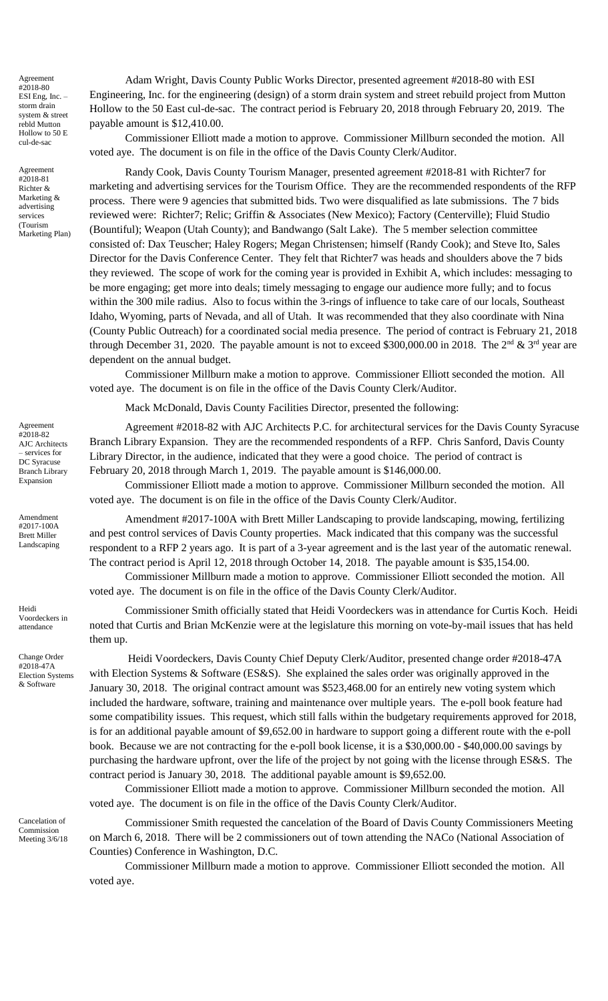Agreement #2018-80 ESI Eng, Inc. – storm drain system & street rebld Mutton Hollow to 50 E cul-de-sac

Agreement #2018-81 Richter & Marketing & advertising services (Tourism Marketing Plan)

Agreement #2018-82 AJC Architects services for DC Syracuse Branch Library Expansion

Amendment #2017-100A Brett Miller Landscaping

Heidi Voordeckers in attendance

Change Order #2018-47A Election Systems & Software

Cancelation of Commission Meeting 3/6/18

Adam Wright, Davis County Public Works Director, presented agreement #2018-80 with ESI Engineering, Inc. for the engineering (design) of a storm drain system and street rebuild project from Mutton Hollow to the 50 East cul-de-sac. The contract period is February 20, 2018 through February 20, 2019. The payable amount is \$12,410.00.

Commissioner Elliott made a motion to approve. Commissioner Millburn seconded the motion. All voted aye. The document is on file in the office of the Davis County Clerk/Auditor.

Randy Cook, Davis County Tourism Manager, presented agreement #2018-81 with Richter7 for marketing and advertising services for the Tourism Office. They are the recommended respondents of the RFP process. There were 9 agencies that submitted bids. Two were disqualified as late submissions. The 7 bids reviewed were: Richter7; Relic; Griffin & Associates (New Mexico); Factory (Centerville); Fluid Studio (Bountiful); Weapon (Utah County); and Bandwango (Salt Lake). The 5 member selection committee consisted of: Dax Teuscher; Haley Rogers; Megan Christensen; himself (Randy Cook); and Steve Ito, Sales Director for the Davis Conference Center. They felt that Richter7 was heads and shoulders above the 7 bids they reviewed. The scope of work for the coming year is provided in Exhibit A, which includes: messaging to be more engaging; get more into deals; timely messaging to engage our audience more fully; and to focus within the 300 mile radius. Also to focus within the 3-rings of influence to take care of our locals, Southeast Idaho, Wyoming, parts of Nevada, and all of Utah. It was recommended that they also coordinate with Nina (County Public Outreach) for a coordinated social media presence. The period of contract is February 21, 2018 through December 31, 2020. The payable amount is not to exceed \$300,000.00 in 2018. The  $2^{nd}$  &  $3^{rd}$  year are dependent on the annual budget.

Commissioner Millburn make a motion to approve. Commissioner Elliott seconded the motion. All voted aye. The document is on file in the office of the Davis County Clerk/Auditor.

Mack McDonald, Davis County Facilities Director, presented the following:

Agreement #2018-82 with AJC Architects P.C. for architectural services for the Davis County Syracuse Branch Library Expansion. They are the recommended respondents of a RFP. Chris Sanford, Davis County Library Director, in the audience, indicated that they were a good choice. The period of contract is February 20, 2018 through March 1, 2019. The payable amount is \$146,000.00.

Commissioner Elliott made a motion to approve. Commissioner Millburn seconded the motion. All voted aye. The document is on file in the office of the Davis County Clerk/Auditor.

Amendment #2017-100A with Brett Miller Landscaping to provide landscaping, mowing, fertilizing and pest control services of Davis County properties. Mack indicated that this company was the successful respondent to a RFP 2 years ago. It is part of a 3-year agreement and is the last year of the automatic renewal. The contract period is April 12, 2018 through October 14, 2018. The payable amount is \$35,154.00.

Commissioner Millburn made a motion to approve. Commissioner Elliott seconded the motion. All voted aye. The document is on file in the office of the Davis County Clerk/Auditor.

Commissioner Smith officially stated that Heidi Voordeckers was in attendance for Curtis Koch. Heidi noted that Curtis and Brian McKenzie were at the legislature this morning on vote-by-mail issues that has held them up.

Heidi Voordeckers, Davis County Chief Deputy Clerk/Auditor, presented change order #2018-47A with Election Systems & Software (ES&S). She explained the sales order was originally approved in the January 30, 2018. The original contract amount was \$523,468.00 for an entirely new voting system which included the hardware, software, training and maintenance over multiple years. The e-poll book feature had some compatibility issues. This request, which still falls within the budgetary requirements approved for 2018, is for an additional payable amount of \$9,652.00 in hardware to support going a different route with the e-poll book. Because we are not contracting for the e-poll book license, it is a \$30,000.00 - \$40,000.00 savings by purchasing the hardware upfront, over the life of the project by not going with the license through ES&S. The contract period is January 30, 2018. The additional payable amount is \$9,652.00.

Commissioner Elliott made a motion to approve. Commissioner Millburn seconded the motion. All voted aye. The document is on file in the office of the Davis County Clerk/Auditor.

Commissioner Smith requested the cancelation of the Board of Davis County Commissioners Meeting on March 6, 2018. There will be 2 commissioners out of town attending the NACo (National Association of Counties) Conference in Washington, D.C.

Commissioner Millburn made a motion to approve. Commissioner Elliott seconded the motion. All voted aye.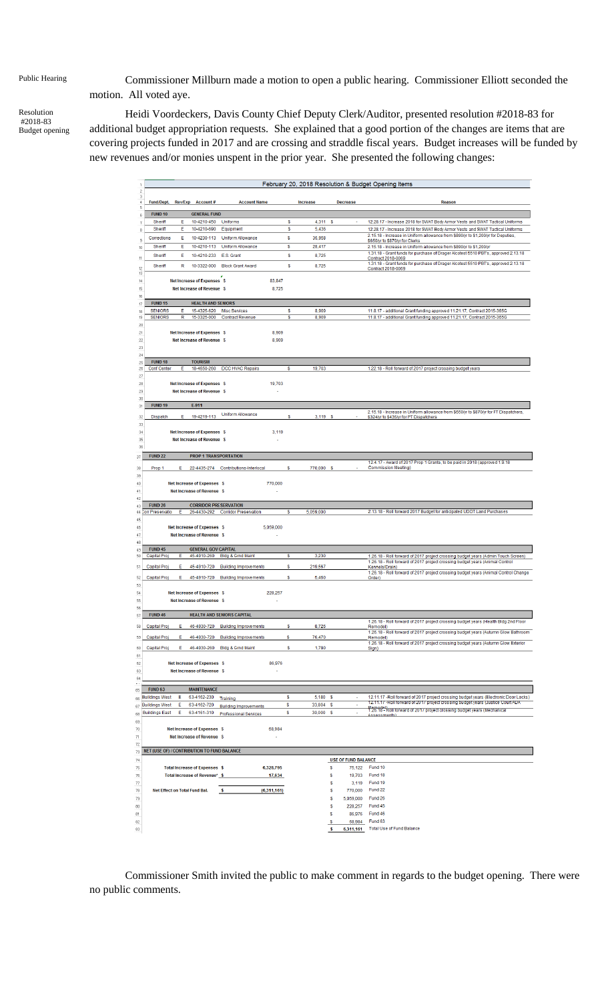Resolution #2018-83 Budget opening

Public Hearing Commissioner Millburn made a motion to open a public hearing. Commissioner Elliott seconded the motion. All voted aye.

> Heidi Voordeckers, Davis County Chief Deputy Clerk/Auditor, presented resolution #2018-83 for additional budget appropriation requests. She explained that a good portion of the changes are items that are covering projects funded in 2017 and are crossing and straddle fiscal years. Budget increases will be funded by new revenues and/or monies unspent in the prior year. She presented the following changes:

|                                         |        |                                             |                                          |               |                  |                                                        | February 20, 2018 Resolution & Budget Opening Items                                                                                                                |
|-----------------------------------------|--------|---------------------------------------------|------------------------------------------|---------------|------------------|--------------------------------------------------------|--------------------------------------------------------------------------------------------------------------------------------------------------------------------|
| <b>Fund/Dept.</b>                       |        | Rev/Exp Account#                            | <b>Account Name</b>                      |               | <b>Increase</b>  | <b>Decrease</b>                                        | <b>Reason</b>                                                                                                                                                      |
| <b>FUND 10</b>                          |        | <b>GENERAL FUND</b>                         |                                          |               |                  |                                                        |                                                                                                                                                                    |
| <b>Sheriff</b><br>Sheriff               | E<br>Е | 10-4210-450<br>10-4210-690                  | Uniforms                                 | s<br>S        | 4,311<br>5,436   | s                                                      | 12.28.17 - Increase 2018 for SWAT Body Armor Vests and SWAT Tactical Uniforms                                                                                      |
| Corrections                             | Е      | 10-4230-113                                 | Equipment<br><b>Uniform Allowance</b>    | s             |                  |                                                        | 12.28.17 - Increase 2018 for SWAT Body Armor Vests and SWAT Tactical Uniforms<br>2.15.18 - Increase in Uniform allowance from \$890/yr to \$1,200/yr for Deputies, |
| Sheriff                                 | E      | 10-4210-113                                 | <b>Uniform Allowance</b>                 | S             | 36,958<br>28,417 |                                                        | \$650/yr to \$870/yr for Clerks<br>2.15.18 - Increase in Uniform allowance from \$890/yr to \$1,200/yr                                                             |
| Sheriff                                 | Е      | 10-4210-233                                 | E.S. Grant                               | S             | 8,725            |                                                        | 1.31.18 - Grant funds for purchase of Drager Alcotest 5510 PBT's, approved 2.13.18                                                                                 |
|                                         |        |                                             |                                          |               |                  |                                                        | Contract 2018-0069<br>1.31.18 - Grant funds for purchase of Drager Alcotest 5510 PBT's, approved 2.13.18                                                           |
| Sheriff                                 | R      | 10-3322-000                                 | <b>Block Grant Award</b>                 | s             | 8,725            |                                                        | Contract 2018-0069                                                                                                                                                 |
|                                         |        | <b>Net Increase of Expenses \$</b>          |                                          | 83,847        |                  |                                                        |                                                                                                                                                                    |
|                                         |        | Net Increase of Revenue \$                  |                                          | 8,725         |                  |                                                        |                                                                                                                                                                    |
| <b>FUND 15</b>                          |        | <b>HEALTH AND SENIORS</b>                   |                                          |               |                  |                                                        |                                                                                                                                                                    |
| <b>SENIORS</b>                          | E      | 15-4325-620                                 | <b>Misc Services</b>                     | s             | 8,909            |                                                        | 11.8.17 - additional Grant funding approved 11.21.17, Contract 2015-365G                                                                                           |
| <b>SENIORS</b>                          | R      | 15-3325-000                                 | <b>Contract Revenue</b>                  | s             | 8,909            |                                                        | 11.8.17 - additional Grant funding approved 11.21.17, Contract 2015-365G                                                                                           |
|                                         |        | Net Increase of Expenses \$                 |                                          | 8,909         |                  |                                                        |                                                                                                                                                                    |
|                                         |        | Net Increase of Revenue \$                  |                                          | 8,909         |                  |                                                        |                                                                                                                                                                    |
|                                         |        |                                             |                                          |               |                  |                                                        |                                                                                                                                                                    |
| <b>FUND 18</b>                          |        | <b>TOURISM</b>                              |                                          |               |                  |                                                        |                                                                                                                                                                    |
| <b>Conf Center</b>                      | Е      | 18-4650-260                                 | <b>DCC HVAC Repairs</b>                  | s             | 19,703           |                                                        | 1.22.18 - Roll forward of 2017 project crossing budget years                                                                                                       |
|                                         |        |                                             |                                          |               |                  |                                                        |                                                                                                                                                                    |
|                                         |        | Net Increase of Expenses \$                 |                                          | 19,703        |                  |                                                        |                                                                                                                                                                    |
|                                         |        | Net Increase of Revenue \$                  |                                          |               |                  |                                                        |                                                                                                                                                                    |
| <b>FUND 19</b>                          |        | E-911                                       |                                          |               |                  |                                                        |                                                                                                                                                                    |
| <b>Dispatch</b>                         | Е      | 19-4219-113                                 | <b>Uniform Allowance</b>                 | S             | $3,119$ \$       |                                                        | 2.15.18 - Increase in Uniform allowance from \$650/yr to \$870/yr for FT Dispatchers,<br>\$324/yr to \$435/yr for PT Dispatchers                                   |
|                                         |        |                                             |                                          |               |                  |                                                        |                                                                                                                                                                    |
|                                         |        | <b>Net Increase of Expenses</b> \$          |                                          | 3,119         |                  |                                                        |                                                                                                                                                                    |
|                                         |        | Net Increase of Revenue \$                  |                                          |               |                  |                                                        |                                                                                                                                                                    |
|                                         |        |                                             |                                          |               |                  |                                                        |                                                                                                                                                                    |
| <b>FUND 22</b>                          |        | <b>PROP 1 TRANSPORTATION</b>                |                                          |               |                  |                                                        | 12.4.17 - Award of 2017 Prop 1 Grants, to be paid in 2018 (approved 1.9.18                                                                                         |
| Prop 1                                  | E      |                                             | 22-4435-274 Contributions-Interlocal     | s             | 770,000 S        |                                                        | <b>Commission Meeting)</b>                                                                                                                                         |
|                                         |        | Net Increase of Expenses \$                 |                                          | 770,000       |                  |                                                        |                                                                                                                                                                    |
|                                         |        | <b>Net Increase of Revenue \$</b>           |                                          |               |                  |                                                        |                                                                                                                                                                    |
|                                         |        |                                             |                                          |               |                  |                                                        |                                                                                                                                                                    |
| <b>FUND 26</b><br>Corr Preservation     | E      | <b>CORRIDOR PRESERVATION</b><br>26-4430-292 | <b>Corridor Preservation</b>             | s             | 5,059,000        |                                                        | 2.13.18 - Roll forward 2017 Budget for anticipated UDOT Land Purchases                                                                                             |
|                                         |        |                                             |                                          |               |                  |                                                        |                                                                                                                                                                    |
|                                         |        | <b>Net Increase of Expenses \$</b>          |                                          | 5,059,000     |                  |                                                        |                                                                                                                                                                    |
|                                         |        | Net Increase of Revenue \$                  |                                          | J.            |                  |                                                        |                                                                                                                                                                    |
| <b>FUND 45</b>                          |        | <b>GENERAL GOV CAPITAL</b>                  |                                          |               |                  |                                                        |                                                                                                                                                                    |
| Capital Pro                             | Ε      | 45-4910-260                                 | <b>Bldg &amp; Grnd Maint</b>             | s             | 3,230            |                                                        | 1.26.18 - Roll forward of 2017 project crossing budget years (Admin Touch Screen)                                                                                  |
| <b>Capital Proj</b>                     | Ε      | 45-4910-720                                 | <b>Building Improvements</b>             | s             | 219,567          |                                                        | 1.26.18 - Roll forward of 2017 project crossing budget years (Animal Control<br>Kennels/Drain)                                                                     |
| <b>Capital Proj</b>                     | Ε      | 45-4910-720                                 | <b>Building Improvements</b>             | s             | 5,460            |                                                        | 1.26.18 - Roll forward of 2017 project crossing budget years (Animal Control Change<br>Order)                                                                      |
|                                         |        |                                             |                                          |               |                  |                                                        |                                                                                                                                                                    |
|                                         |        | <b>Net Increase of Expenses \$</b>          |                                          | 228,257       |                  |                                                        |                                                                                                                                                                    |
|                                         |        | <b>Net Increase of Revenue \$</b>           |                                          |               |                  |                                                        |                                                                                                                                                                    |
| <b>FUND 46</b>                          |        |                                             | <b>HEALTH AND SENIORS CAPITAL</b>        |               |                  |                                                        |                                                                                                                                                                    |
|                                         | Е      | 46-4930-720                                 |                                          | s             |                  |                                                        | 1.26.18 - Roll forward of 2017 project crossing budget years (Health Bldg 2nd Floor                                                                                |
| <b>Capital Proj</b>                     |        |                                             | <b>Building Improvements</b>             |               | 8,726            |                                                        | Remodel)<br>1.26.18 - Roll forward of 2017 project crossing budget years (Autumn Glow Bathroom                                                                     |
| Capital Proj                            | F      | 46-4930-720                                 | <b>Building Improvements</b>             | s             | 76,470           |                                                        | Remodel)<br>1.26.18 - Roll forward of 2017 project crossing budget years (Autumn Glow Exterior                                                                     |
| Capital Proj                            | Ε      | 46-4930-260                                 | <b>Bldg &amp; Grnd Maint</b>             | s             | 1,780            |                                                        | Sign)                                                                                                                                                              |
|                                         |        | Net Increase of Expenses \$                 |                                          | 86,976        |                  |                                                        |                                                                                                                                                                    |
|                                         |        | <b>Net Increase of Revenue \$</b>           |                                          |               |                  |                                                        |                                                                                                                                                                    |
|                                         |        |                                             |                                          |               |                  |                                                        |                                                                                                                                                                    |
|                                         |        |                                             |                                          |               |                  |                                                        |                                                                                                                                                                    |
|                                         |        |                                             |                                          |               |                  |                                                        |                                                                                                                                                                    |
| <b>FUND 63</b><br><b>Buildings West</b> | Е      | <b>MAINTENANCE</b><br>63-4162-230           |                                          | s             | 5,180            | S                                                      |                                                                                                                                                                    |
| <b>Buildings West</b>                   | Ε      | 63-4162-720                                 | Training<br><b>Building Improvements</b> | S             | 33,804           | \$                                                     | 12.11.17 -Roll forward of 2017 project crossing budget years (Justice Court ADA                                                                                    |
| <b>Buildings East</b>                   | Ε      | 63-4161-310                                 | <b>Professional Services</b>             | \$            | 30,000           | <b>S</b><br>$\tilde{\phantom{a}}$                      | Remodel)<br>1.26.18 - Roll forward of 2017 project crossing budget years (Mechanical<br>Assessments                                                                |
|                                         |        |                                             |                                          |               |                  |                                                        |                                                                                                                                                                    |
|                                         |        | Net Increase of Expenses \$                 |                                          | 68,984<br>L,  |                  |                                                        |                                                                                                                                                                    |
|                                         |        | <b>Net Increase of Revenue \$</b>           |                                          |               |                  |                                                        |                                                                                                                                                                    |
|                                         |        | NET (USE OF) / CONTRIBUTION TO FUND BALANCE |                                          |               |                  |                                                        |                                                                                                                                                                    |
|                                         |        |                                             |                                          |               |                  | <b>USE OF FUND BALANCE</b>                             |                                                                                                                                                                    |
|                                         |        | <b>Total Increase of Expenses \$</b>        |                                          | 6,328,795     |                  | \$<br>75,122                                           | Fund 10                                                                                                                                                            |
|                                         |        | Total Increase of Revenue* \$               |                                          | 17,634        |                  | \$<br>19,703                                           | Fund 18                                                                                                                                                            |
| <b>Net Effect on Total Fund Bal.</b>    |        |                                             | s                                        |               |                  | 3,119<br>s<br>S                                        | Fund 19<br>Fund <sub>22</sub>                                                                                                                                      |
|                                         |        |                                             |                                          | (6, 311, 161) |                  | 770,000<br>\$<br>5,059,000                             | Fund 26                                                                                                                                                            |
|                                         |        |                                             |                                          |               |                  | 228,257<br>s                                           | Fund 45                                                                                                                                                            |
|                                         |        |                                             |                                          |               |                  | 86,976<br>\$                                           | Fund 46                                                                                                                                                            |
|                                         |        |                                             |                                          |               |                  | 68,984<br>$\boldsymbol{\mathsf{s}}$<br>6,311,161<br>\$ | 12.11.17 -Roll forward of 2017 project crossing budget years (Electronic Door Locks)<br>Fund <sub>63</sub><br><b>Total Use of Fund Balance</b>                     |

Commissioner Smith invited the public to make comment in regards to the budget opening. There were no public comments.